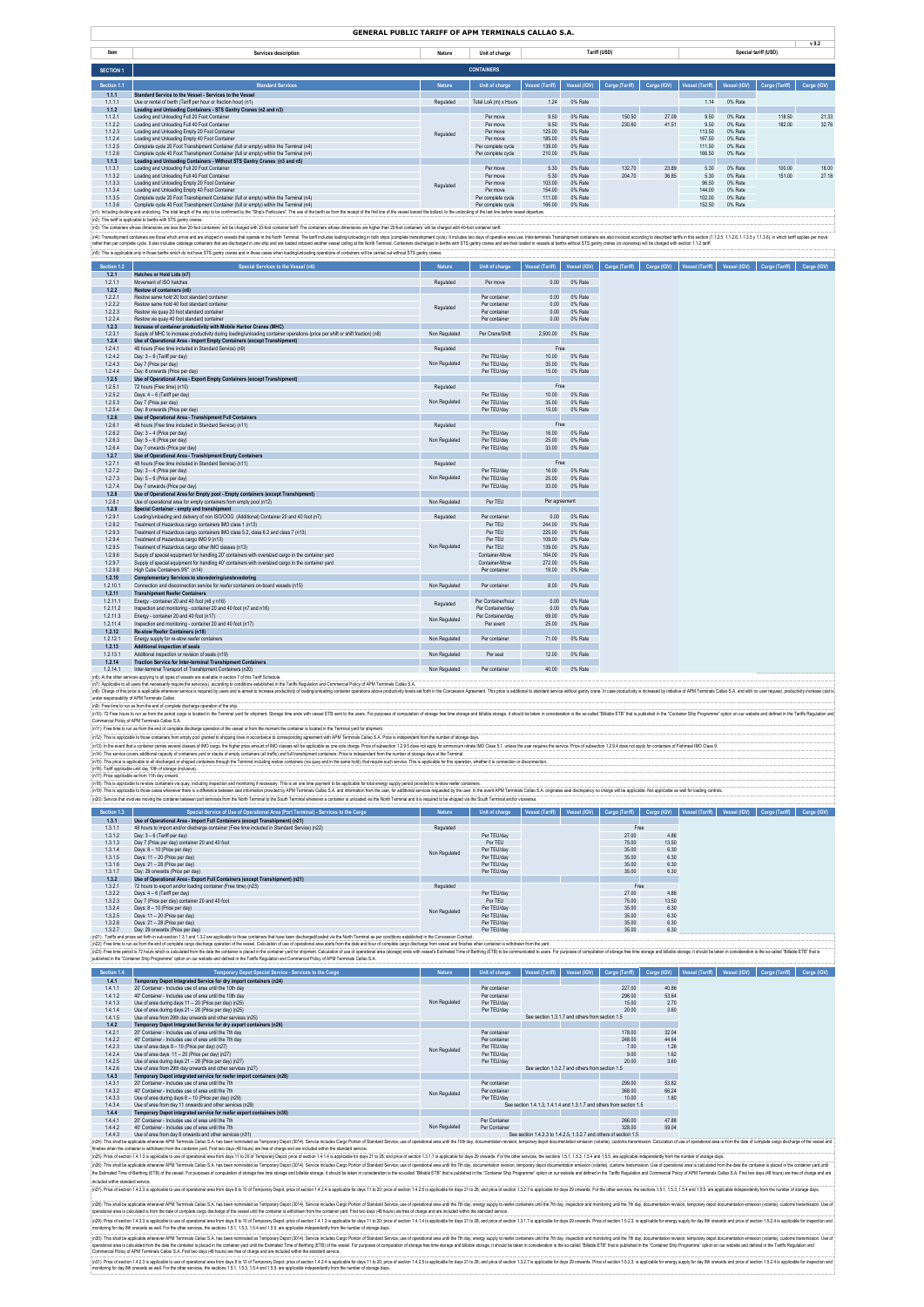|                                              | GENERAL PUBLIC TARIFF OF APM TERMINALS CALLAO S.A.                                                                                                                                                                                                                                                                                                                                                                                                               |               |                                          |                                                                      |                    |                                                               |                |                              |                     |                            |                  |
|----------------------------------------------|------------------------------------------------------------------------------------------------------------------------------------------------------------------------------------------------------------------------------------------------------------------------------------------------------------------------------------------------------------------------------------------------------------------------------------------------------------------|---------------|------------------------------------------|----------------------------------------------------------------------|--------------------|---------------------------------------------------------------|----------------|------------------------------|---------------------|----------------------------|------------------|
| Item                                         | Services description                                                                                                                                                                                                                                                                                                                                                                                                                                             | Nature        | Unit of charge                           |                                                                      | Tariff (USD)       |                                                               |                |                              |                     | Special tariff (USD)       | v <sub>9.2</sub> |
| <b>SECTION 1</b>                             |                                                                                                                                                                                                                                                                                                                                                                                                                                                                  |               | <b>CONTAINERS</b>                        |                                                                      |                    |                                                               |                |                              |                     |                            |                  |
| Section 1.                                   | <b>Standard Services</b>                                                                                                                                                                                                                                                                                                                                                                                                                                         | Nature        | Unit of charge                           | Vessel (Tariff)                                                      |                    | Vessel (IGV) Cargo (Tariff) Cargo (IGV) Vessel (Tariff)       |                |                              | Vessel (IGV)        | Cargo (Tariff)             | Cargo (IGV)      |
| 1.1.1                                        | Standard Service to the Vessel - Services to the Vessel                                                                                                                                                                                                                                                                                                                                                                                                          |               |                                          |                                                                      |                    |                                                               |                |                              |                     |                            |                  |
| 1.1.1.1<br>1.1.2                             | Use or rental of berth (Tariff per hour or fraction hour) (n1)<br>Loading and Unloading Containers - STS Gantry Cranes (n2 and n3)                                                                                                                                                                                                                                                                                                                               | Regulated     | Total LoA (m) x Hours                    | 1.24                                                                 | 0% Rate            |                                                               |                | 1.14                         | 0% Rate             |                            |                  |
| 1.1.2.1<br>1.1.2.2                           | Loading and Unloading Full 20 Foot Container<br>Loading and Unloading Full 40 Foot Container                                                                                                                                                                                                                                                                                                                                                                     |               | Per move<br>Per move                     | 9.50<br>9.50                                                         | 0% Rate<br>0% Rate | 150.50<br>230.60                                              | 27.09<br>41.51 | 9.50<br>9.50                 | 0% Rate<br>0% Rate  | 118.50<br>182.00           | 21.33<br>32.76   |
| 1.1.2.3<br>1.1.2.4                           | Loading and Unloading Empty 20 Foot Container<br>Loading and Unloading Empty 40 Foot Container                                                                                                                                                                                                                                                                                                                                                                   | Regulated     | Per move<br>Per move                     | 125.00<br>185,00                                                     | 0% Rate<br>0% Rate |                                                               |                | 113.50<br>167.50             | 0% Rate<br>0% Rate  |                            |                  |
| 1.1.2.5<br>1.1.2.6                           | Complete cycle 20 Foot Transhipment Container (full or empty) within the Terminal (n4)<br>Complete cycle 40 Foot Transhipment Container (full or empty) within the Terminal (n4)                                                                                                                                                                                                                                                                                 |               | Per complete cycle<br>Per complete cycle | 139.00<br>210.00                                                     | 0% Rate<br>0% Rate |                                                               |                | 111.50<br>166.50             | 0% Rate<br>0% Rate  |                            |                  |
| 1.1.3<br>1.1.3.1                             | Loading and Unloading Containers - Without STS Gantry Cranes (n3 and n5)<br>Loading and Unloading Full 20 Foot Container                                                                                                                                                                                                                                                                                                                                         |               | Per move                                 | 5.30                                                                 | 0% Rate            | 132.70                                                        | 23.89          | 5.30                         | 0% Rate             | 100.00                     | 18.00            |
| 1.1.3.2<br>1.1.3.3                           | Loading and Unloading Full 40 Foot Container<br>Loading and Unloading Empty 20 Foot Container                                                                                                                                                                                                                                                                                                                                                                    |               | Per move<br>Per move                     | 5.30<br>103.00                                                       | 0% Rate<br>0% Rate | 204.70                                                        | 36.85          | 5.30<br>96.50                | 0% Rate<br>0% Rate  | 151.00                     | 27.18            |
| 1.1.3.4<br>1.1.3.5                           | Loading and Unloading Empty 40 Foot Container<br>Complete cycle 20 Foot Transhipment Container (full or empty) within the Terminal (n4)                                                                                                                                                                                                                                                                                                                          | Regulated     | Per move<br>Per complete cycle           | 154.00<br>111.00                                                     | 0% Rate<br>0% Rate |                                                               |                | 144 00<br>102.00             | 0% Rate<br>0% Rate  |                            |                  |
| 1.1.3.6                                      | Complete cycle 40 Foot Transhipment Container (full or empty) within the Terminal (n4)<br>(n1): Including docking and undocking. The total length of the ship to be confirmed by the "Ship's Particulars". The use of the berth as from the receipt of the first line of the vessel toward the bollard, to the undocking                                                                                                                                         |               | Per complete cycle                       | 166.00                                                               | 0% Rate            |                                                               |                | 152.50                       | 0% Rate             |                            |                  |
|                                              | (n2): This tariff is annlicable to berths with STS gantry cranes.                                                                                                                                                                                                                                                                                                                                                                                                |               |                                          |                                                                      |                    |                                                               |                |                              |                     |                            |                  |
|                                              | (n3): The containers whose dimensions are less than 20-foot containers' will be charged with 20-foot container tariff. The containes whose dimensions are higher than 20-foot containers' will be charged with 40-foot contain<br>(n4): Transshipment containers are those which anive and are shipped in vessels that operate in the North Terminal. The tariff includes loading unloading in both ships (complete transshipment cycle). It includes two days o |               |                                          |                                                                      |                    |                                                               |                |                              |                     |                            |                  |
|                                              | rather than per complete cycle. It also includes cabolage containers that are discharged in one ship and are loaded onboard another vessel calling at the North Terminal. Containers discharged in betths with STS gantry cran<br>(n5): This is applicable only in those berths which do not have STS gantry cranes and in those cases when loading/unloading operations of containers will be carried out without STS gantry cranes.                            |               |                                          |                                                                      |                    |                                                               |                |                              |                     |                            |                  |
| Section 1.2                                  | Special Services to the Vessel (n6)                                                                                                                                                                                                                                                                                                                                                                                                                              | Nature        | Unit of charge                           | Vessel (Tariff)                                                      |                    | Vessel (IGV) Cargo (Tariff) Cargo (IGV) Vessel (Tariff)       |                |                              | Vessel (IGV)        | Cargo (Tariff)             | Cargo (IGV)      |
| 1.2.1                                        | Hatches or Hold Lids (n7)                                                                                                                                                                                                                                                                                                                                                                                                                                        |               |                                          |                                                                      |                    |                                                               |                |                              |                     |                            |                  |
| 1.2.1.1<br>1.2.2                             | Movement of ISO hatches<br>Restow of containers (n6)                                                                                                                                                                                                                                                                                                                                                                                                             | Regulated     | Per move                                 | 0.00                                                                 | 0% Rate            |                                                               |                |                              |                     |                            |                  |
| 1.2.2.1<br>1.2.2.2                           | Restow same hold 20 foot standard container<br>Restow same hold 40 foot standard container                                                                                                                                                                                                                                                                                                                                                                       | Regulated     | Per container<br>Per container           | 0.00<br>0.00                                                         | 0% Rate<br>0% Rate |                                                               |                |                              |                     |                            |                  |
| 1.2.2.3<br>1.2.2.4                           | Restow via quay 20 foot standard container<br>Restow via quay 40 foot standard container                                                                                                                                                                                                                                                                                                                                                                         |               | Per container<br>Per container           | 0.00<br>0.00                                                         | 0% Rate<br>0% Rate |                                                               |                |                              |                     |                            |                  |
| 1,2,3<br>1.2.3.1                             | Increase of container productivity with Mobile Harbor Cranes (MHC)<br>Supply of MHC to increase productivity during loading/unloading container operations (price per shift or shift fraction) (n8)                                                                                                                                                                                                                                                              | Non Regulated | Per Crane/Shift                          | 2,500.00                                                             | 0% Rate            |                                                               |                |                              |                     |                            |                  |
| 1.2.4<br>1.2.4.1                             | Use of Operational Area - Import Empty Containers (except Transhipment)<br>48 hours (Free time included in Standard Service) (n9)                                                                                                                                                                                                                                                                                                                                | Regulated     |                                          | Free                                                                 |                    |                                                               |                |                              |                     |                            |                  |
| 1.2.4.2<br>1.2.4.3                           | Day: 3 - 6 (Tariff per day)<br>Day 7 (Price per day)                                                                                                                                                                                                                                                                                                                                                                                                             | Non Regulated | Per TEU/day<br>Per TEU/day               | 10.00<br>35.00                                                       | 0% Rate<br>0% Rate |                                                               |                |                              |                     |                            |                  |
| 1244                                         | Day: 8 onwards (Price per day)                                                                                                                                                                                                                                                                                                                                                                                                                                   |               | Per TEU/day                              | 15.00                                                                | 0% Rate            |                                                               |                |                              |                     |                            |                  |
| 1.2.5<br>1.2.5.1                             | Use of Operational Area - Export Empty Containers (except Transhipment)<br>72 hours (Free time) (n10)                                                                                                                                                                                                                                                                                                                                                            | Regulated     |                                          | Free                                                                 |                    |                                                               |                |                              |                     |                            |                  |
| 1.2.5.2<br>1.2.5.3                           | Days: 4 - 6 (Tariff per day)<br>Day 7 (Price per day)                                                                                                                                                                                                                                                                                                                                                                                                            | Non Regulated | Per TFI I/day<br>Per TEU/day             | 10.00<br>35.00                                                       | 0% Rate<br>0% Rate |                                                               |                |                              |                     |                            |                  |
| 1.2.5.4<br>1.2.6                             | Day: 8 onwards (Price per day)<br>Use of Operational Area - Transhipment Full Containers                                                                                                                                                                                                                                                                                                                                                                         |               | Per TEU/day                              | 15.00                                                                | 0% Rate            |                                                               |                |                              |                     |                            |                  |
| 1.2.6.1<br>1.2.6.2                           | 48 hours (Free time included in Standard Service) (n11)<br>Day: 3 - 4 (Price per day)                                                                                                                                                                                                                                                                                                                                                                            | Regulated     | Per TEU/day                              | Free<br>16.00                                                        | 0% Rate            |                                                               |                |                              |                     |                            |                  |
| 1.2.6.3<br>1.2.6.4                           | Day: 5 - 6 (Price per day)<br>Dav 7 onwards (Price per day)                                                                                                                                                                                                                                                                                                                                                                                                      | Non Regulated | Per TEU/day<br>Per TEU/day               | 25.00<br>33.00                                                       | 0% Rate<br>0% Rate |                                                               |                |                              |                     |                            |                  |
| 1.2.7                                        | Use of Operational Area - Transhipment Empty Containers                                                                                                                                                                                                                                                                                                                                                                                                          |               |                                          |                                                                      |                    |                                                               |                |                              |                     |                            |                  |
| 1.2.7.1<br>1.2.7.2                           | 48 hours (Free time included in Standard Service) (n11)<br>Day: 3 - 4 (Price per day)                                                                                                                                                                                                                                                                                                                                                                            | Regulated     | Per TFI I/day                            | Free<br>16.00                                                        | 0% Rate            |                                                               |                |                              |                     |                            |                  |
| 1.2.7.3<br>1.2.7.4                           | Day: 5 - 6 (Price per day)<br>Day 7 onwards (Price per day)                                                                                                                                                                                                                                                                                                                                                                                                      | Non Regulated | Per TEU/day<br>Per TEU/day               | 25.00<br>33.00                                                       | 0% Rate<br>0% Rate |                                                               |                |                              |                     |                            |                  |
| 1.2.8<br>1.2.8.1                             | Use of Operational Area for Empty pool - Empty containers (except Transhipment)<br>Use of operational area for empty containers from empty pool (n12)                                                                                                                                                                                                                                                                                                            | Non Regulated | Per TEU                                  | Per agreement                                                        |                    |                                                               |                |                              |                     |                            |                  |
| 1.2.9<br>1.2.9.1                             | Special Container - empty and transhipment<br>Loading/unloading and delivery of non ISO/OOG (Additional) Container 20 and 40 foot (n7)                                                                                                                                                                                                                                                                                                                           | Regulated     | Per container                            | 0.00                                                                 | 0% Rate            |                                                               |                |                              |                     |                            |                  |
| 1.2.9.2                                      | Treatment of Hazardous cargo containers IMO class 1 (n13)                                                                                                                                                                                                                                                                                                                                                                                                        |               | Per TEU                                  | 244.00                                                               | 0% Rate            |                                                               |                |                              |                     |                            |                  |
| 1293<br>1.2.9.4                              | Treatment of Hazardous cargo containers IMO class 5.2, class 6.2 and class 7 (n13)<br>Treatment of Hazardous cargo IMO 9 (n13)                                                                                                                                                                                                                                                                                                                                   |               | Per TEU<br>Per TEU                       | 225.00<br>109.00                                                     | 0% Rate<br>0% Rate |                                                               |                |                              |                     |                            |                  |
| 1.2.9.5<br>1.2.9.6                           | Treatment of Hazardous cargo other IMO classes (n13)<br>Supply of special equipment for handling 20' containers with oversized cargo in the container vard                                                                                                                                                                                                                                                                                                       | Non Regulated | Per TEU<br>Container-Move                | 139.00<br>164.00                                                     | 0% Rate<br>0% Rate |                                                               |                |                              |                     |                            |                  |
| 1297<br>1.2.9.8                              | Supply of special equipment for handling 40' containers with oversized cargo in the container yard<br>High Cube Containers 9'6" (n14)                                                                                                                                                                                                                                                                                                                            |               | Container-Move<br>Per container          | 272.00<br>19.00                                                      | 0% Rate<br>0% Rate |                                                               |                |                              |                     |                            |                  |
| 1.2.10<br>1 2 1 0 1                          | Complementary Services to stevedoring/unstevedoring                                                                                                                                                                                                                                                                                                                                                                                                              |               |                                          | 8.00                                                                 | 0% Rate            |                                                               |                |                              |                     |                            |                  |
| 1.2.11                                       | Connection and disconnection service for reefer containers on-board vessels (n15)<br><b>Transhipment Reefer Containers</b>                                                                                                                                                                                                                                                                                                                                       | Non Regulated | Per container                            |                                                                      |                    |                                                               |                |                              |                     |                            |                  |
| 1.2.11.1<br>1.2.11.2                         | Energy - container 20 and 40 foot (n6 y n16)<br>Inspection and monitoring - container 20 and 40 foot (n7 and n16)                                                                                                                                                                                                                                                                                                                                                | Regulated     | Per Container/hour<br>Per Container/day  | 0.00<br>0.00                                                         | 0% Rate<br>0% Rate |                                                               |                |                              |                     |                            |                  |
| 1.2.11.3<br>1.2.11.4                         | Energy - container 20 and 40 foot (n17)<br>Inspection and monitoring - container 20 and 40 foot (n17)                                                                                                                                                                                                                                                                                                                                                            | Non Regulated | Per Container/day<br>Per event           | 69.00<br>25.00                                                       | 0% Rate<br>0% Rate |                                                               |                |                              |                     |                            |                  |
| 1.2.12<br>1.2.12.1                           | Re-stow Reefer Containers (n18)<br>Energy supply for re-stow reefer containers                                                                                                                                                                                                                                                                                                                                                                                   | Non Regulated | Per container                            | 71.00                                                                | 0% Rate            |                                                               |                |                              |                     |                            |                  |
| 1.2.13<br>1.2.13.1                           | Additional inspection of seals<br>Additional inspection or revision of seals (n19)                                                                                                                                                                                                                                                                                                                                                                               | Non Regulated | Per seal                                 | 12.00                                                                | 0% Rate            |                                                               |                |                              |                     |                            |                  |
| 1.2.14<br>1.2.14.1                           | <b>Traction Service for Inter-terminal Transhipment Containers</b>                                                                                                                                                                                                                                                                                                                                                                                               |               | Per container                            | 40.00                                                                | 0% Rate            |                                                               |                |                              |                     |                            |                  |
|                                              | Inter-terminal Transport of Transhipment Containers (n20)<br>(n6): Al the other services applying to all types of vessels are available in section 7 of this Tariff Schedule.<br>(n7): Applicable to all users that necessarily require the service(s), according to conditions established in the Tariffs Regulation and Commercial Policy of APM Terminals Callao S.A.                                                                                         | Non Regulated |                                          |                                                                      |                    |                                                               |                |                              |                     |                            |                  |
| under responsability of APM Terminals Callao | (nB): Charge of this price is applicable whenever service is required by users and is aimed to increase productivity of loading unbaser productivity of loading unbaser productivity levels as to productivity levels set fort                                                                                                                                                                                                                                   |               |                                          |                                                                      |                    |                                                               |                |                              |                     |                            |                  |
|                                              | (n9): Free time to run as from the end of complete discharge operation of the ship.<br>(nf0): 72 Free hours to run as from the period cargo is located in the Terminal yeard for shipment. Storage time ends with vessel ETB sent to the uses. For purposes of computation of storage free storage and billable stora                                                                                                                                            |               |                                          |                                                                      |                    |                                                               |                |                              |                     |                            |                  |
|                                              | Commercial Policy of APM Terminals Callao S.A.                                                                                                                                                                                                                                                                                                                                                                                                                   |               |                                          |                                                                      |                    |                                                               |                |                              |                     |                            |                  |
|                                              | (n11): Free time to run as from the end of complete discharge operation of the vessel or from the moment the container is located in the Terminal yard for shipment.<br>(n12): This is applicable to those containers from empty pool granted to shipping lines in accordance to corresponding agreement with APM Terminals Callao S.A. Price is independent from the number of storage days.                                                                    |               |                                          |                                                                      |                    |                                                               |                |                              |                     |                            |                  |
|                                              | (n13): In the event that a container carries several classes of IMO cargo, the higher price amount of IMO classes will be applicable as one sole charge. Price of subsection 129.5 does not apply for ammonium nitrate IMO Cla<br>(n14): This service covers additional capacity of containers yard or stacks of empty containers (all traffic) and full transhipment containers. Price is independent from the number of storage days at the Terminal.          |               |                                          |                                                                      |                    |                                                               |                |                              |                     |                            |                  |
|                                              | (n15): This price is applicable to all discharged or shipped containers through the Terminal including restow containers (via quay and in the same hold), that require such service. This is applicable for this operation, wh<br>(n16): Tariff applicable until day 10th of storage (inclusive).                                                                                                                                                                |               |                                          |                                                                      |                    |                                                               |                |                              |                     |                            |                  |
|                                              | (n17): Price applicable as from 11th day onward.<br>(n18): This is applicable to re-stow containers via quay, including inspection and monitoring if necessary. This is an one time payment to be applicable for total energy supply period provided to re-stow reefer containers.                                                                                                                                                                               |               |                                          |                                                                      |                    |                                                               |                |                              |                     |                            |                  |
|                                              | (n19): This is applicable to those cases whenever there is a diference between seal information provided by APM Terminals Callao SA and information from the user, for additional services requested by the user. In the event                                                                                                                                                                                                                                   |               |                                          |                                                                      |                    |                                                               |                |                              |                     |                            |                  |
|                                              | (n20): Service that involves moving the container between port terminals from the North Terminal to the South Terminal whenever a container is unloaded via the North Terminal and it is required to be shipped via the South<br>Special Service of Use of Operational Area (Port Terminal) - Services to the Cargo                                                                                                                                              | Nature        | Unit of charge                           |                                                                      |                    | Vessel (Tariff)   Vessel (IGV)   Cargo (Tariff)   Cargo (IGV) |                | Vessel (Tariff) Vessel (IGV) |                     | Cargo (Tariff) Cargo (IGV) |                  |
| 1,3.1                                        | Use of Operational Area - Import Full Containers (except Transhipment) (n21)                                                                                                                                                                                                                                                                                                                                                                                     |               |                                          |                                                                      |                    |                                                               |                |                              |                     |                            |                  |
| 1.3.1.1<br>1.3.1.2                           | 48 hours to import and/or discharge container (Free time included in Standard Service) (n22)<br>Day: 3 - 6 (Tariff per day)                                                                                                                                                                                                                                                                                                                                      | Regulated     | Per TEU/day                              |                                                                      |                    | Free<br>27.00                                                 | 4.86           |                              |                     |                            |                  |
| 1.3.1.3<br>1.3.1.4                           | Day 7 (Price per day) container 20 and 40 foot<br>Days: 8 - 10 (Price per day)                                                                                                                                                                                                                                                                                                                                                                                   | Non Regulated | Por TEU<br>Per TEU/day                   |                                                                      |                    | 75.00<br>35.00                                                | 13.50<br>6.30  |                              |                     |                            |                  |
| 1.3.1.5<br>1.3.1.6                           | Days: 11 - 20 (Price per day)<br>Days: 21 - 28 (Price per day)                                                                                                                                                                                                                                                                                                                                                                                                   |               | Per TEU/day<br>Per TEU/day               |                                                                      |                    | 35.00<br>35.00                                                | 6.30<br>6.30   |                              |                     |                            |                  |
| 1.3.1.7<br>1.3.2                             | Day: 29 onwards (Price per day)<br>Use of Operational Area - Export Full Containers (except Transhipment) (n21)                                                                                                                                                                                                                                                                                                                                                  |               | Per TFU/day                              |                                                                      |                    | 35.00                                                         | 6.30           |                              |                     |                            |                  |
| 1.3.2.1<br>1.3.2.2                           | 72 hours to export and/or loading container (Free time) (n23)<br>Days: 4 - 6 (Tariff per day)                                                                                                                                                                                                                                                                                                                                                                    | Regulated     | Per TEU/day                              |                                                                      |                    | Free<br>27.00                                                 | 4.86           |                              |                     |                            |                  |
| 1.3.2.3<br>1.3.2.4                           | Day 7 (Price per day) container 20 and 40 foot<br>Days: 8 - 10 (Price per day)                                                                                                                                                                                                                                                                                                                                                                                   |               | Por TEU<br>Per TEU/day                   |                                                                      |                    | 75.00<br>35.00                                                | 13.50<br>6.30  |                              |                     |                            |                  |
| 1.3.2.5<br>1.3.2.6                           | Days: 11 - 20 (Price per day)<br>Days: 21 - 28 (Price per day)                                                                                                                                                                                                                                                                                                                                                                                                   | Non Regulated | Per TEU/day<br>Per TEU/day               |                                                                      |                    | 35.00<br>35.00                                                | 6.30<br>6.30   |                              |                     |                            |                  |
| 1.3.2.7                                      | Day: 29 onwards (Price per day)<br>(n21): Tariffs and prices set forth in sub-section 1.3.1 and 1.3.2 are applicable to those containers that have been discharged/loaded via the North Terminal as per conditions established in the Concession Contract.                                                                                                                                                                                                       |               | Per TEU/dav                              |                                                                      |                    | 35.00                                                         | 6.30           |                              |                     |                            |                  |
|                                              | (n22): Free time to run as from the end of complete cargo discharge operation of the vessel. Calculation of use of operational area starts from the date and hour of complete cargo discharge from vessel and finishes when co                                                                                                                                                                                                                                   |               |                                          |                                                                      |                    |                                                               |                |                              |                     |                            |                  |
|                                              | (n23): Free time period is 72 hours which is calculated from the date the container is placed in the container is placed in the container yard for shipment. Calculation of use of cperational area (storage) ends with vessel<br>published in the "Container Ship Programme" option on our website and defined in the Tariffs Regulation and Commercial Policy of APM Terminals Callao S.A.                                                                     |               |                                          |                                                                      |                    |                                                               |                |                              |                     |                            |                  |
| Section 1.4                                  | Temporary Depot Special Service - Services to the Cargo                                                                                                                                                                                                                                                                                                                                                                                                          |               | Unit of charg                            |                                                                      | Vessel (IGV)       | Cargo (Tariff)                                                | Cargo (IGV)    | Vessel (Tariff)              | <b>Vessel (IGV)</b> | Cargo (Tariff) Cargo (IGV) |                  |
| 1.4.1<br>1,4.1.1                             | Temporary Depot Integrated Service for dry import containers (n24)<br>20' Container - Includes use of area until the 10th day                                                                                                                                                                                                                                                                                                                                    |               | Per container                            |                                                                      |                    | 227.00                                                        | 40.86          |                              |                     |                            |                  |
| 1,4.1.2<br>1,4.1.3                           | 40' Container - Includes use of area until the 10th day<br>Use of area during days 11 - 20 (Price per day) (n25)                                                                                                                                                                                                                                                                                                                                                 | Non Regulated | Per container<br>Per TEU/day             |                                                                      |                    | 298.00<br>15.00                                               | 53.64<br>2.70  |                              |                     |                            |                  |
| 1.4.1.4<br>1.4.1.5                           | Use of area during days 21 - 28 (Price per day) (n25)<br>Use of area from 29th day onwards and other services (n25)                                                                                                                                                                                                                                                                                                                                              |               | Per TEU/day                              | See section 1.3.1.7 and others from section 1.5                      |                    | 20.00                                                         | 3.60           |                              |                     |                            |                  |
| 1.4.2<br>1.4.2.1                             | Temporary Depot Integrated Service for dry export containers (n26)<br>20' Container - Includes use of area until the 7th day                                                                                                                                                                                                                                                                                                                                     |               | Per container                            |                                                                      |                    | 178.00                                                        | 32.04          |                              |                     |                            |                  |
| 1,4.2.2<br>1,4.2.3                           | 40' Container - Includes use of area until the 7th day<br>Use of area days 8 - 10 (Price per day) (n27)                                                                                                                                                                                                                                                                                                                                                          |               | Per container<br>Per TFU/day             |                                                                      |                    | 248.00<br>7.00                                                | 44.64<br>1.26  |                              |                     |                            |                  |
| 1,4.2.4<br>1.4.2.5                           | Use of area days 11 - 20 (Price per day) (n27)<br>Use of area during days 21 - 28 (Price per day) (n27)                                                                                                                                                                                                                                                                                                                                                          | Non Regulated | Per TEU/day<br>Per TEU/day               |                                                                      |                    | 9.00<br>20.00                                                 | 1.62<br>3.60   |                              |                     |                            |                  |
| 1.4.2.6<br>1.4.3                             | Use of area from 29th day onwards and other services (n27)<br>Temporary Depot integrated service for reefer import containers (n28)                                                                                                                                                                                                                                                                                                                              |               |                                          | See section 1.3.2.7 and others from section 1.5                      |                    |                                                               |                |                              |                     |                            |                  |
| 1.4.3.1<br>1,4,3,2                           | 20' Container - Includes use of area until the 7th<br>40' Container - Includes use of area until the 7th                                                                                                                                                                                                                                                                                                                                                         |               | Per container<br>Per container           |                                                                      |                    | 299.00<br>368.00                                              | 53.82<br>66.24 |                              |                     |                            |                  |
| 1,4,3,3<br>1434                              | Use of area during days 8 - 10 (Price per day) (n29)<br>Use of area from day 11 onwards and other services (n29)                                                                                                                                                                                                                                                                                                                                                 | Non Regulated | Per TEU/day                              | See section 1.4.1.3. 1.4.1.4 and 1.3.1.7 and others from section 1.5 |                    | 10.00                                                         | 1.80           |                              |                     |                            |                  |
| 1.4.4<br>1.4.4.1                             | Temporary Depot integrated service for reefer export containers (n30)                                                                                                                                                                                                                                                                                                                                                                                            |               | Per Container                            |                                                                      |                    | 266.00                                                        | 47.88          |                              |                     |                            |                  |
| 1,4,4,2                                      | 20' Container - Includes use of area until the 7th<br>40' Container - Includes use of area until the 7th                                                                                                                                                                                                                                                                                                                                                         | Non Regulated | Per Container                            | See section 1.4.2.3 to 1.4.2.5, 1.3.2.7 and others of section 1.5    |                    | 328.00                                                        | 59.04          |                              |                     |                            |                  |
| 1,4,4,3                                      | Use of area from day 8 onwards and other services (n31)<br>(n24): This shall be applicable whenever APM Terminals Calao S.A. has been nominated as Temporary Depot (3014). Service includes Cargo Portion of Standard Service, we of operational area until the 10th day, documentation e                                                                                                                                                                        |               |                                          |                                                                      |                    |                                                               |                |                              |                     |                            |                  |
|                                              | finishes when the container is withdrawn from the container yard. First two days (48 hours) are free of charge and are included within the standard service.<br>(n25): Price of section 1.4.1.3 is applicable to use of operational area from days 11 to 20 of Temporary Depot; price of section 1.4.1.4 is applicable for days 21 to 28; and price of section 1.3.1.7 is applicable of days 2                                                                   |               |                                          |                                                                      |                    |                                                               |                |                              |                     |                            |                  |
|                                              | (n26): This shall be applicable whenever APM Terminals Callao S.A. has been nominated as Termonary Decot (3014). Service includes Caroo Portion of Standard Service, use of operational area until the 7th day, documentation<br>the Estimated Time of Berthing (ETB) of the vessel. For purposes of computation of storage liste restime storage and billable storage end billable storage, it should be laken in consideration is the so-called "Billable ETB  |               |                                          |                                                                      |                    |                                                               |                |                              |                     |                            |                  |
| included within standard service.            | (n27): Price of section 1.4.2.3 is applicable to use of operational area from days 8 to 10 of Temporary Depot; price of section 1.4.2.4 is applicable for days 11 to 20; price of section 1.4.2.5 is applicable for days 21 to                                                                                                                                                                                                                                   |               |                                          |                                                                      |                    |                                                               |                |                              |                     |                            |                  |
|                                              |                                                                                                                                                                                                                                                                                                                                                                                                                                                                  |               |                                          |                                                                      |                    |                                                               |                |                              |                     |                            |                  |
|                                              | (n26): This shall be applicable whenever APM Terminals Callao S.A. has been nominated as Temporary Depot (3014). Service includes Cargo Portion of Standard Service, use of operational area until the 7th day, energy supply<br>operational area is calculated is from the date of complete cargo discharge of the vessel until the container is withdrawn from the container yard. First two days (48 hours) are free of charge and are included within the s  |               |                                          |                                                                      |                    |                                                               |                |                              |                     |                            |                  |
|                                              | (n29): Price of section 1.4.3.3 is applicable to use of operational area from days 8 to 10 of Temporary Depot; price of section 1.4.1.3 is applicable for days 11 to 20; price of section 1.4.1.4 is applicable for days 21 to<br>monitoring for day 8th onwards as well. For the other services, the sections 1.5.1, 1.5.3, 1.5.4 and 1.5.5. are applicable independently from the number of storage days.                                                      |               |                                          |                                                                      |                    |                                                               |                |                              |                     |                            |                  |
|                                              | (n30): This shall be applicable whenever APM Terminals Callao S.A. has been nominated as Temporary Depot (3014). Service includes Cargo Portion of Standard Service, use of operational area until the 7th day, energy supply<br>operational area is calculated from the date the container is placed in the container yard until the Estimated Time of Berthing (ETB) of the vessel. For purposes of computation of storage free time storage and billable sto  |               |                                          |                                                                      |                    |                                                               |                |                              |                     |                            |                  |
|                                              | Commercial Policy of APM Terminals Callao S.A. First two days (48 hours) are free of charge and are included within the standard service.                                                                                                                                                                                                                                                                                                                        |               |                                          |                                                                      |                    |                                                               |                |                              |                     |                            |                  |

CommediPdicy d.PM Teminis Callo S.A. Fist hoday is (@box)) as fee of charge and as included with the standard series are include to applicable to app 11 to 20 pical section 1.4.2.5 a applicable for depth of any calcular to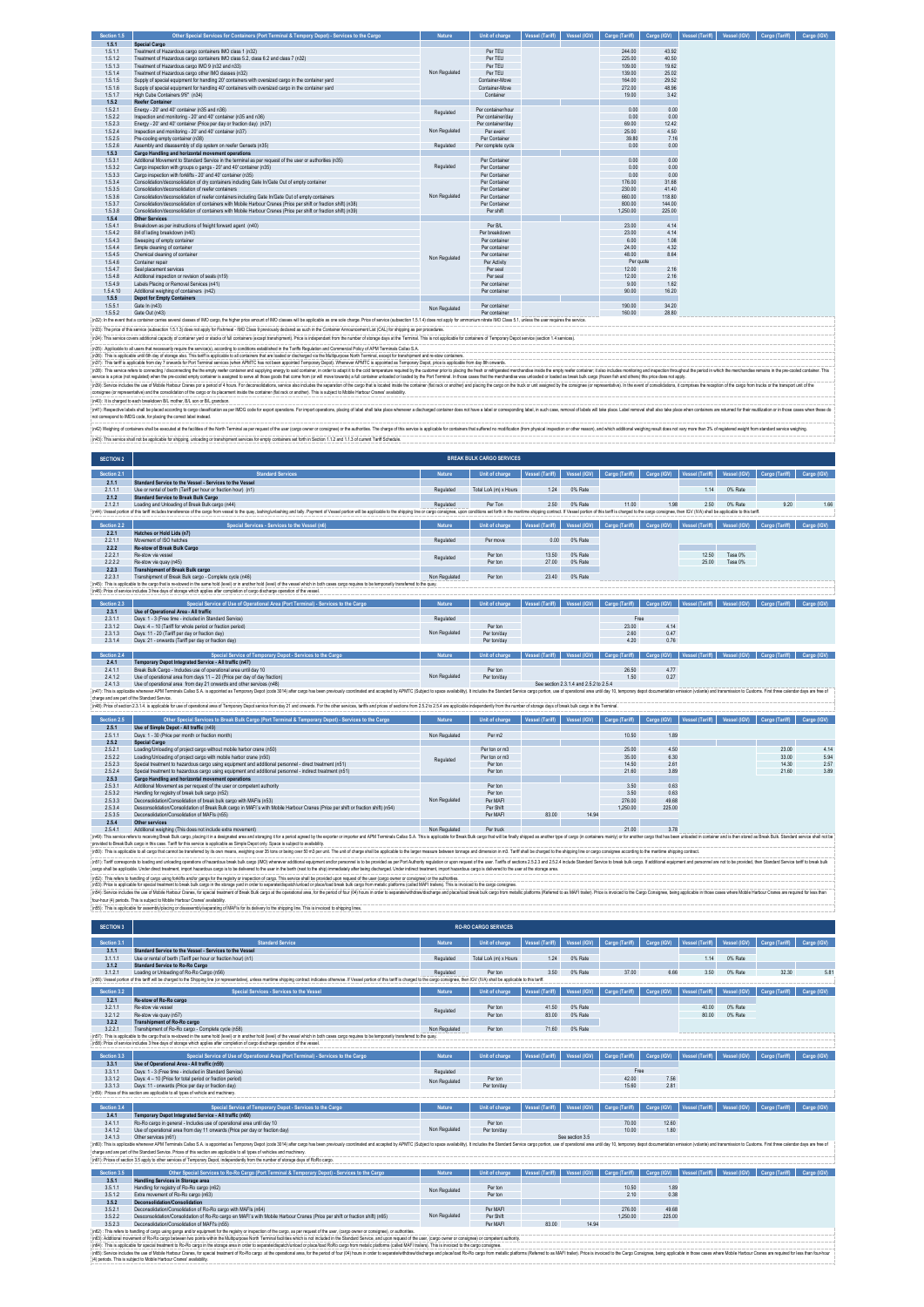| Section 1.5 | Other Special Services for Containers (Port Terminal & Tempory Depot) - Services to the Cargo                                                                                                                                  | Nature        | Unit of charge     | Vessel (Tariff) | Vessel (IGV) |           |        | Cargo (Tariff)   Cargo (IGV)   Vessel (Tariff)   Vessel (IGV)   Cargo (Tariff) | Cargo (IGV) |
|-------------|--------------------------------------------------------------------------------------------------------------------------------------------------------------------------------------------------------------------------------|---------------|--------------------|-----------------|--------------|-----------|--------|--------------------------------------------------------------------------------|-------------|
| 1.5.1       | Special Cargo                                                                                                                                                                                                                  |               |                    |                 |              |           |        |                                                                                |             |
| 1.5.1.1     | Treatment of Hazardous cargo containers IMO class 1 (n32)                                                                                                                                                                      |               | Per TFU            |                 |              | 244.00    | 43.92  |                                                                                |             |
| 1.5.1.2     | Treatment of Hazardous cargo containers IMO class 5.2, class 6.2 and class 7 (n32)                                                                                                                                             |               | Per TEU            |                 |              | 225.00    | 40.50  |                                                                                |             |
| 1.5.1.3     | Treatment of Hazardous cargo IMO 9 (n32 and n33)                                                                                                                                                                               |               | Per TEU            |                 |              | 109.00    | 19.62  |                                                                                |             |
| 1.5.1.4     | Treatment of Hazardous cargo other IMO classes (n32)                                                                                                                                                                           | Non Regulated | Per TEU            |                 |              | 139.00    | 25.02  |                                                                                |             |
| 1.5.1.5     | Supply of special equipment for handling 20' containers with oversized cargo in the container vard                                                                                                                             |               | Container-Move     |                 |              | 164.00    | 29.52  |                                                                                |             |
| 1.5.1.6     | Supply of special equipment for handling 40' containers with oversized cargo in the container vard                                                                                                                             |               | Container-Move     |                 |              | 272.00    | 48.96  |                                                                                |             |
| 1.5.1.7     | High Cube Containers 9'6" (n34)                                                                                                                                                                                                |               | Container          |                 |              | 19.00     | 3.42   |                                                                                |             |
| 1.5.2       | <b>Reefer Container</b>                                                                                                                                                                                                        |               |                    |                 |              |           |        |                                                                                |             |
| 1.5.2.1     | Energy - 20' and 40' container (n35 and n36)                                                                                                                                                                                   | Regulated     | Per container/hour |                 |              | 0.00      | 0.00   |                                                                                |             |
| 1.5.2.2     | Inspection and monitoring - 20' and 40' container (n35 and n36)                                                                                                                                                                |               | Per container/day  |                 |              | 0.00      | 0.00   |                                                                                |             |
| 1.5.2.3     | Energy - 20' and 40' container (Price per day or fraction day) (n37)                                                                                                                                                           |               | Per container/day  |                 |              | 69.00     | 12.42  |                                                                                |             |
| 1,5.2.4     | Inspection and monitoring - 20' and 40' container (n37).                                                                                                                                                                       | Non Regulated | Per event          |                 |              | 25.00     | 4.50   |                                                                                |             |
| 1.5.2.5     | Pre-cooling empty container (n38)                                                                                                                                                                                              |               | Per Container      |                 |              | 39.80     | 7.16   |                                                                                |             |
| 1.5.2.6     | Assembly and disassembly of clip system on reefer Gensets (n35)                                                                                                                                                                | Regulated     | Per complete cycle |                 |              | 0.00      | 0.00   |                                                                                |             |
| 1.5.3       | Cargo Handling and horizontal movement operations                                                                                                                                                                              |               |                    |                 |              |           |        |                                                                                |             |
| 1.5.3.1     | Additional Movement to Standard Service in the terminal as per request of the user or authorities (n35)                                                                                                                        |               | Per Container      |                 |              | 0.00      | 0.00   |                                                                                |             |
| 1,5,3,2     | Cargo inspection with groups o gangs - 20' and 40' container (n35)                                                                                                                                                             | Regulated     | Per Container      |                 |              | 0.00      | 0.00   |                                                                                |             |
| 1,5,3,3     | Cargo inspection with forklifts - 20' and 40' container (n35)                                                                                                                                                                  |               | Per Container      |                 |              | 0.00      | 0.00   |                                                                                |             |
| 1.5.3.4     | Consolidation/deconsolidation of dry containers including Gate In/Gate Out of empty container                                                                                                                                  |               | Per Container      |                 |              | 176.00    | 31.68  |                                                                                |             |
| 1,5,3,5     | Consolidation/deconsolidation of reefer containers                                                                                                                                                                             |               | Per Container      |                 |              | 230.00    | 41.40  |                                                                                |             |
| 1,5,3,6     | Consolidation/deconsolidation of reefer containers including Gate In/Gate Out of empty containers                                                                                                                              | Non Regulated | Per Container      |                 |              | 660.00    | 118.80 |                                                                                |             |
| 1,5,3,7     | Consolidation/deconsolidation of containers with Mobile Harbour Cranes (Price per shift or fraction shift) (n38)                                                                                                               |               | Per Container      |                 |              | 800.00    | 144.00 |                                                                                |             |
| 1,5,3,8     | Consolidation/deconsolidation of containers with Mobile Harbour Cranes (Price per shift or fraction shift) (n39)                                                                                                               |               | Per shift          |                 |              | 1.250.00  | 225.00 |                                                                                |             |
| 1.5.4       | <b>Other Services</b>                                                                                                                                                                                                          |               |                    |                 |              |           |        |                                                                                |             |
| 1.5.4.1     | Breakdown as per instructions of freight forward agent (n40)                                                                                                                                                                   |               | Per B/L            |                 |              | 23.00     | 4.14   |                                                                                |             |
| 1.5.4.2     | Bill of lading breakdown (n40)                                                                                                                                                                                                 |               | Per breakdown      |                 |              | 23.00     | 4.14   |                                                                                |             |
| 1,5,4,3     | Sweeping of empty container                                                                                                                                                                                                    |               | Per container      |                 |              | 6.00      | 1.08   |                                                                                |             |
| 1.5.4.4     | Simple cleaning of container                                                                                                                                                                                                   |               | Per container      |                 |              | 24.00     | 4.32   |                                                                                |             |
| 1.5.4.5     | Chemical cleaning of container                                                                                                                                                                                                 | Non Regulated | Per container      |                 |              | 48.00     | 8.64   |                                                                                |             |
| 1,5,4,6     | Container repair                                                                                                                                                                                                               |               | Per Activity       |                 |              | Per guote |        |                                                                                |             |
| 1,5,4.7     | Seal placement services                                                                                                                                                                                                        |               | Per seal           |                 |              | 12.00     | 2.16   |                                                                                |             |
| 1,5,4,8     | Additional inspection or revision of seals (n19)                                                                                                                                                                               |               | Per seal           |                 |              | 12.00     | 2.16   |                                                                                |             |
| 1.5.4.9     | Labels Placing or Removal Services (n41)                                                                                                                                                                                       |               | Per container      |                 |              | 9.00      | 1.62   |                                                                                |             |
| 1.5.4.10    | Additional weighing of containers (n42)                                                                                                                                                                                        |               | Per container      |                 |              | 90.00     | 16.20  |                                                                                |             |
| 1.5.5       | <b>Depot for Empty Containers</b>                                                                                                                                                                                              |               |                    |                 |              |           |        |                                                                                |             |
| 1.5.5.1     | Gate In (n43)                                                                                                                                                                                                                  | Non Regulated | Per container      |                 |              | 190.00    | 34.20  |                                                                                |             |
| 1,5.5.2     | Gate Out (n43)                                                                                                                                                                                                                 |               | Per container      |                 |              | 160.00    | 28.80  |                                                                                |             |
|             | n32): In the event that a container carries several classes of IMO caroo. the higher price amount of IMO classes will be applicable as one sole charge. Price of service (subsection 1.5.1.4) does not apply for ammonium nitr |               |                    |                 |              |           |        |                                                                                |             |

(63). The place of this serice placed in 5.13) descriptly for the lMO Gas 9 periodiy delated in the Contrier Monormer List (CAL) to sipping the procedure.<br>(63). Aspicale all uses that means in 3.3) descriptions in the cont

i@Sonic to the outer of the heliodial one of a low for the experiment of the state of the state of the state of the state of the state of the state of the state of the state of the state of the state of the state of the st

m/2) Weighing of constructions and be the secured at the secured of the secured of the secured of the secured of the advanced of the advanced of the secured of the secured interactions of the secure is applicable for consi (n43): This service shall not be applicable for shipping, unloading or transhipment services for empty containers set forth in Section 1.1.2 and 1.1.3 of current Tariff Schedule.

| <b>SECTION 2</b> |                                                                                                                                                                                                                                |               | <b>BREAK BULK CARGO SERVICES</b> |                        |              |                |             |                             |              |                |             |
|------------------|--------------------------------------------------------------------------------------------------------------------------------------------------------------------------------------------------------------------------------|---------------|----------------------------------|------------------------|--------------|----------------|-------------|-----------------------------|--------------|----------------|-------------|
| Section 2.1      | <b>Standard Services</b>                                                                                                                                                                                                       | Nature        | Unit of charge                   | <b>Vessel (Tariff)</b> | Vessel (IGV) | Cargo (Tariff) | Cargo (IGV) | Vessel (Tariff)             | Vessel (IGV) | Cargo (Tariff) | Cargo (IGV) |
| 2.1.1            | Standard Service to the Vessel - Services to the Vessel                                                                                                                                                                        |               |                                  |                        |              |                |             |                             |              |                |             |
| 2.1.1.1          | Use or rental of berth (Tariff per hour or fraction hour) (n1)                                                                                                                                                                 | Regulated     | Total LoA (m) x Hours            | 1.24                   | 0% Rate      |                |             | 1.14                        | 0% Rate      |                |             |
| 2.1.2            | <b>Standard Service to Break Bulk Cargo</b>                                                                                                                                                                                    |               |                                  |                        |              |                |             |                             |              |                |             |
| 2.1.2.1          | Loading and Unloading of Break Bulk cargo (n44)                                                                                                                                                                                | Regulated     | Per Ton                          | 2.50                   | 0% Rate      | 11.00          | 1.98        | 2.50                        | 0% Rate      | 9.20           | 1.66        |
|                  | [n44]: Vessel potion of this tariff includes transference of the cargo from vessel to the quay, lashing/unlashing and tally. Payment of Vessel potion will be applicable to the shipping line or cargo consignee, upon conditi |               |                                  |                        |              |                |             |                             |              |                |             |
|                  |                                                                                                                                                                                                                                |               |                                  |                        |              |                |             |                             |              |                |             |
| Section 2.2      | Special Services - Services to the Vessel (n6)                                                                                                                                                                                 | Nature        | Unit of charge                   | Vessel (Tariff)        | Vessel (IGV) | Cargo (Tariff) | Cargo (IGV) | Vessel (Tariff)             | Vessel (IGV) | Cargo (Tariff) | Cargo (IGV) |
| 2.2.1            | Hatches or Hold Lids (n7)                                                                                                                                                                                                      |               |                                  |                        |              |                |             |                             |              |                |             |
| 2.2.1.1          | Movement of ISO hatches                                                                                                                                                                                                        | Regulated     | Per move                         | 0.00                   | 0% Rate      |                |             |                             |              |                |             |
| 2.2.2            | Re-stow of Break Bulk Cargo                                                                                                                                                                                                    |               |                                  |                        |              |                |             |                             |              |                |             |
| 2.2.2.1          | Re-stow via vessel                                                                                                                                                                                                             | Regulated     | Per ton                          | 13.50                  | 0% Rate      |                |             | 12.50                       | Tasa 0%      |                |             |
| 22.2.2           | Re-stow via quay (n45)                                                                                                                                                                                                         |               | Per ton                          | 27.00                  | 0% Rate      |                |             | 25.00                       | Tasa 0%      |                |             |
| 2.2.3            | <b>Transhipment of Break Bulk cargo</b>                                                                                                                                                                                        |               |                                  |                        |              |                |             |                             |              |                |             |
| 2.2.3.1          | Transhipment of Break Bulk cargo - Complete cycle (n46)                                                                                                                                                                        | Non Regulated | Per ton                          | 23.40                  | 0% Rate      |                |             |                             |              |                |             |
|                  | (n45): This is applicable to the cargo that is re-stowed in the same hold (level) or in another hold (level) of the vessel which in both cases cargo requires to be temporarily transferred to the quay.                       |               |                                  |                        |              |                |             |                             |              |                |             |
|                  | (n46): Price of service includes 3 free days of storage which applies after completion of cargo discharge operation of the vessel.                                                                                             |               |                                  |                        |              |                |             |                             |              |                |             |
|                  |                                                                                                                                                                                                                                |               |                                  |                        |              |                |             |                             |              |                |             |
| Section 2.3      | Special Service of Use of Operational Area (Port Terminal) - Services to the Cargo                                                                                                                                             | Nature        | Unit of charge                   | Vessel (Tariff)        | Vessel (IGV) | Cargo (Tariff) |             | Cargo (IGV) Vessel (Tariff) | Vessel (IGV) | Cargo (Tariff) | Cargo (IGV) |

| <b>NEUGHUIL AND</b> | ORCOGI OCIVICE OI OSE OI ORCIGIOTICI ALEG IFOIL I CHIIIIICI " OCIVICES IO HIE OSIAO. | веше          | <b>UNITED TO ANOTHER</b>                                                                                                                       |  |       |      |  | is a coose from I acose from I can and from I can a from I acose from I acose from I can an I can In Carlo fro |  |
|---------------------|--------------------------------------------------------------------------------------|---------------|------------------------------------------------------------------------------------------------------------------------------------------------|--|-------|------|--|----------------------------------------------------------------------------------------------------------------|--|
| 2.3.1               | Use of Operational Area - All traffic                                                |               |                                                                                                                                                |  |       |      |  |                                                                                                                |  |
| 2.3.1.1             | Days: 1 - 3 (Free time - included in Standard Service)                               | Regulated     |                                                                                                                                                |  | Free  |      |  |                                                                                                                |  |
| 2.3.1.2             | Days: 4 - 10 (Tariff for whole period or fraction period)                            |               | Per ton                                                                                                                                        |  | 23.00 | 4.14 |  |                                                                                                                |  |
| 2.3.1.3             | Days: 11 - 20 (Tariff per day or fraction day)                                       | Non Regulated | Per ton/day                                                                                                                                    |  | 2.60  | 0.47 |  |                                                                                                                |  |
| 2.3.1.4             | Days: 21 - onwards (Tariff per day or fraction day)                                  |               | Per ton/day                                                                                                                                    |  | 4.20  | 0.76 |  |                                                                                                                |  |
|                     |                                                                                      |               |                                                                                                                                                |  |       |      |  |                                                                                                                |  |
| Section 2.4         | Special Service of Temporary Depot - Services to the Cargo                           | Nature        | Unit of charge   Vessel (Tariff)   Vessel (IGV)   Cargo (Tariff)   Cargo (IGV)   Vessel (Tariff)   Vessel (IGV)   Cargo (Tariff)   Cargo (IGV) |  |       |      |  |                                                                                                                |  |
| 2.4.1               | Temporary Depot Integrated Service - All traffic (n47)                               |               |                                                                                                                                                |  |       |      |  |                                                                                                                |  |
| 2.4.1.1             | Break Bulk Cargo - Includes use of operational area until day 10                     |               | Per ton                                                                                                                                        |  | 26.50 | 4.77 |  |                                                                                                                |  |
| 2.4.1.2             | Use of operational area from days 11 - 20 (Price per day of day fraction)            | Non Regulated | Per ton/day                                                                                                                                    |  | 1.50  | 0.27 |  |                                                                                                                |  |
| $  -$               | .                                                                                    |               |                                                                                                                                                |  |       |      |  |                                                                                                                |  |

2.4.1. Use doperations are form day 21 owerst and other earlies (MS)<br>(ATT) is a splicite where we are investigated in the second of the second outlet are previous continue and a splicit of the content of the content of the chaps and are part of the Standard Service.<br>(nds): Price of sectors 23.14. is applicable for use of copositional area of Temporary Depot service form day 21 and onwards. For the character, tanthis and prices of sections fr

|             | THAT A DEVICE THE AND CONTROLL OF A DECIDENT RESIDENT CHINA'S DEVICE THILLIGAL AT A MARKET OF THE VIDEO OF THE CALL ON A COLOR OF MARKET AND A COLOR OF A COLOR OF THE THILLIGHT OF THE CHINA'S A LEGAL AND SULLED A COLOR OF |               |                |                 |              |                |        |                             |              |                            |      |  |
|-------------|-------------------------------------------------------------------------------------------------------------------------------------------------------------------------------------------------------------------------------|---------------|----------------|-----------------|--------------|----------------|--------|-----------------------------|--------------|----------------------------|------|--|
| Section 2.5 | Other Special Services to Break Bulk Cargo (Port Terminal & Temporary Depot) - Services to the Cargo                                                                                                                          | Nature        | Unit of charge | Vessel (Tariff) | Vessel (IGV) | Cargo (Tariff) |        | Cargo (IGV) Vessel (Tariff) | Vessel (IGV) | Cargo (Tariff) Cargo (IGV) |      |  |
| 2.5.1       | Use of Simple Depot - All traffic (n49)                                                                                                                                                                                       |               |                |                 |              |                |        |                             |              |                            |      |  |
| 2.5.1.1     | Days: 1 - 30 (Price per month or fraction month)                                                                                                                                                                              | Non Regulated | Per m2         |                 |              | 10.50          | 1.89   |                             |              |                            |      |  |
| 2.5.2       | Special Cargo                                                                                                                                                                                                                 |               |                |                 |              |                |        |                             |              |                            |      |  |
| 2.5.2.1     | Loading/Unloading of project cargo without mobile harbor crane (n50)                                                                                                                                                          |               | Per ton or m3  |                 |              | 25.00          | 4.50   |                             |              | 23.00                      | 4.14 |  |
| 2.5.2.2     | Loading/Unloading of project cargo with mobile harbor crane (n50)                                                                                                                                                             | Regulated     | Per ton or m3  |                 |              | 35.00          | 6.30   |                             |              | 33.00                      | 5.94 |  |
| 2.5.2.3     | Special treatment to hazardous cargo using equipment and additional personnel - direct treatment (n51)                                                                                                                        |               | Per ton        |                 |              | 14.50          | 2.61   |                             |              | 14.30                      | 2.57 |  |
| 2.5.2.4     | Special treatment to hazardous cargo using equipment and additional personnel - indirect treatment (n51)                                                                                                                      |               | Per ton        |                 |              | 21.60          | 3.89   |                             |              | 21.60                      | 3.89 |  |
| 2.5.3       | Cargo Handling and horizontal movement operations                                                                                                                                                                             |               |                |                 |              |                |        |                             |              |                            |      |  |
| 2.5.3.1     | Additional Movement as per request of the user or competent authority                                                                                                                                                         |               | Per ton        |                 |              | 3.50           | 0.63   |                             |              |                            |      |  |
| 2.5.3.2     | Handling for registry of break bulk cargo (n52)                                                                                                                                                                               |               | Per ton        |                 |              | 3.50           | 0.63   |                             |              |                            |      |  |
| 2.5.3.3     | Deconsolidation/Consolidation of break bulk cargo with MAFIs (n53)                                                                                                                                                            | Non Regulated | Per MAFI       |                 |              | 276.00         | 49.68  |                             |              |                            |      |  |
| 2.5.3.4     | Desconsolidation/Consolidation of Break Bulk cargo in MAFI's with Mobile Harbour Cranes (Price per shift or fraction shift) (n54)                                                                                             |               | Per Shift      |                 |              | 1.250.00       | 225.00 |                             |              |                            |      |  |
| 2.5.3.5     | Deconsolidation/Consolidation of MAFIs (n55)                                                                                                                                                                                  |               | Par MAFI       | 83.00           | 14.94        |                |        |                             |              |                            |      |  |
| 2.5.4       | Other services                                                                                                                                                                                                                |               |                |                 |              |                |        |                             |              |                            |      |  |
|             |                                                                                                                                                                                                                               |               |                |                 |              |                |        |                             |              |                            |      |  |

 $\begin{tabular}{c|c|c|c|c} \hline 25.35 & Decomposition of back to the model of the 5000 & 25000 & 25000 & 25000 & 25000 & 25000 & 25000 & 25000 & 25000 & 25000 & 25000 & 25000 & 25000 & 25000 & 25000 & 25000 & 25000 & 25000 & 25000 & 25000 & 25000 & 25000 & 25000 & 25000 & 25000 & 25000 & 2500$ 

| <b>SECTION 3</b>                                                                                                                                                                                                               |                                                                                                                                                                                                           |               | <b>RO-RO CARGO SERVICES</b> |                 |              |                |             |                 |              |                |               |
|--------------------------------------------------------------------------------------------------------------------------------------------------------------------------------------------------------------------------------|-----------------------------------------------------------------------------------------------------------------------------------------------------------------------------------------------------------|---------------|-----------------------------|-----------------|--------------|----------------|-------------|-----------------|--------------|----------------|---------------|
| Section 3.1                                                                                                                                                                                                                    | <b>Standard Service</b>                                                                                                                                                                                   | Nature        | Unit of charge              | Vessel (Tariff) | Vessel (IGV) | Cargo (Tariff) | Cargo (IGV) | Vessel (Tariff) | Vessel (IGV) | Cargo (Tariff) | Cargo (IGV)   |
| 3.1.1                                                                                                                                                                                                                          | Standard Service to the Vessel - Services to the Vessel                                                                                                                                                   |               |                             |                 |              |                |             |                 |              |                |               |
| 3.1.1.1                                                                                                                                                                                                                        | Use or rental of berth (Tariff per hour or fraction hour) (n1)                                                                                                                                            | Regulated     | Total LoA (m) x Hours       | 1.24            | 0% Rate      |                |             | 1.14            | 0% Rate      |                |               |
| 3.1.2                                                                                                                                                                                                                          | <b>Standard Service to Ro-Ro Cargo</b>                                                                                                                                                                    |               |                             |                 |              |                |             |                 |              |                |               |
| 3.1.2.1                                                                                                                                                                                                                        | Loading or Unloading of Ro-Ro Cargo (n56)                                                                                                                                                                 | Regulated     | Per ton                     | 3.50            | 0% Rate      | 37.00          | 6.66        | 3.50            | 0% Rate      | 32.30          | $5.8^{\circ}$ |
| (n56): Vessel portion of this tariff will be charged to the Shipping line (or representative), unless maritime shipping contract indicates otherwise. If Vessel portion of this tariff is charged to the cargo consignee, then |                                                                                                                                                                                                           |               |                             |                 |              |                |             |                 |              |                |               |
| Section 3.2                                                                                                                                                                                                                    |                                                                                                                                                                                                           | Nature        |                             |                 |              |                |             |                 |              |                |               |
|                                                                                                                                                                                                                                |                                                                                                                                                                                                           |               |                             |                 |              |                |             |                 |              |                |               |
|                                                                                                                                                                                                                                | Special Services - Services to the Vessel                                                                                                                                                                 |               | Unit of charge              | Vessel (Tariff) | Vessel (IGV) | Cargo (Tariff) | Cargo (IGV) | Vessel (Tariff) | Vessel (IGV) | Cargo (Tariff) | Cargo (IGV)   |
| 3.2.1                                                                                                                                                                                                                          | Re-stow of Ro-Ro cargo                                                                                                                                                                                    |               |                             |                 |              |                |             |                 |              |                |               |
| 3.2.1.1                                                                                                                                                                                                                        | Re-stow via vessel                                                                                                                                                                                        |               | Per ton                     | 41.50           | 0% Rate      |                |             | 40.00           | 0% Rate      |                |               |
| 3.2.1.2                                                                                                                                                                                                                        | Re-stow via quay (n57)                                                                                                                                                                                    | Regulated     | Per ton                     | 83.00           | 0% Rate      |                |             | 80.00           | 0% Rate      |                |               |
| 3.2.2                                                                                                                                                                                                                          | Transhipment of Ro-Ro cargo                                                                                                                                                                               |               |                             |                 |              |                |             |                 |              |                |               |
| 3221                                                                                                                                                                                                                           | Transhipment of Ro-Ro cargo - Complete cycle (n58)                                                                                                                                                        | Non Regulated | Per ton                     | 71.60           | 0% Rate      |                |             |                 |              |                |               |
|                                                                                                                                                                                                                                | :(n57): This is applicable to the cargo that is re-stowed in the same hold (level) or in another hold (level) of the vessel which in both cases cargo requires to be temporarily transferred to the quay. |               |                             |                 |              |                |             |                 |              |                |               |
|                                                                                                                                                                                                                                | (n58): Price of service includes 3 free days of storage which applies after completion of cargo discharge operation of the yessel.                                                                        |               |                             |                 |              |                |             |                 |              |                |               |

| Section 3.3 | Special Service of Use of Operational Area (Port Terminal) - Services to the Cargo                                                                                                                                             | Nature        | Unit of charge | <b>Vessel (Tariff)</b> | Vessel (IGV)    | Cargo (Tariff) | Cargo (IGV) | <b>Vessel (Tariff)</b> | Vessel (IGV) | Cargo (Tariff)                          | Cargo (IGV) |
|-------------|--------------------------------------------------------------------------------------------------------------------------------------------------------------------------------------------------------------------------------|---------------|----------------|------------------------|-----------------|----------------|-------------|------------------------|--------------|-----------------------------------------|-------------|
| 3.3.1       | Use of Operational Area - All traffic (n59)                                                                                                                                                                                    |               |                |                        |                 |                |             |                        |              |                                         |             |
| 3.3.1.1     | Days: 1 - 3 (Free time - included in Standard Service)                                                                                                                                                                         | Regulated     |                |                        |                 | Free           |             |                        |              |                                         |             |
| 3.3.1.2     | Days: 4 - 10 (Price for total period or fraction period)                                                                                                                                                                       | Non Regulated | Per ton        |                        |                 | 42.00          | 7.56        |                        |              |                                         |             |
| 3.3.1.3     | Days: 11 - onwards (Price per day or fraction day)                                                                                                                                                                             |               | Per ton/day    |                        |                 | 15.60          | 2.81        |                        |              |                                         |             |
|             | (n59): Prices of this section are applicable to all types of vehicle and machinery.                                                                                                                                            |               |                |                        |                 |                |             |                        |              |                                         |             |
|             |                                                                                                                                                                                                                                |               |                |                        |                 |                |             |                        |              |                                         |             |
| Section 3.4 | Special Service of Temporary Depot - Services to the Cargo                                                                                                                                                                     | <b>Nature</b> | Unit of charge | <b>Vessel (Tariff)</b> | Vessel (IGV)    | Cargo (Tariff) | Cargo (IGV) | Vessel (Tariff)        | Vessel (IGV) | Cargo (Tariff)                          | Cargo (IGV) |
| 3.4.1       | Temporary Depot Integrated Service - All traffic (n60)                                                                                                                                                                         |               |                |                        |                 |                |             |                        |              |                                         |             |
| 3.4.1.1     | Ro-Ro cargo in general - Includes use of operational area until day 10                                                                                                                                                         |               | Per ton        |                        |                 | 70.00          | 12.60       |                        |              |                                         |             |
| 3.4.1.2     | Use of operational area from day 11 onwards (Price per day or fraction day)                                                                                                                                                    | Non Regulated | Per ton/day    |                        |                 | 10.00          | 1.80        |                        |              |                                         |             |
| 3413        | Other services (n61)                                                                                                                                                                                                           |               |                |                        | See section 3.5 |                |             |                        |              |                                         |             |
|             | (n60): This is applicable whenever APM Terminals Callao S.A. is appointed as Temporary Depot (code 3014) after cargo has been previously coordinated and accepted by APMTC (Subject to space availability). It includes the St |               |                |                        |                 |                |             |                        |              |                                         |             |
|             | charge and are part of the Standard Service. Prices of this section are applicable to all types of vehicles and machinery.                                                                                                     |               |                |                        |                 |                |             |                        |              |                                         |             |
|             | (n61): Prices of section 3.5 apply to other services of Temporary Depot, independently from the number of storage days of RoRo cargo.                                                                                          |               |                |                        |                 |                |             |                        |              |                                         |             |
|             |                                                                                                                                                                                                                                |               |                |                        |                 |                |             |                        |              |                                         |             |
| Section 3.5 | Other Special Services to Ro-Ro Cargo (Port Terminal & Temporary Depot) - Services to the Cargo                                                                                                                                | <b>Nature</b> | Unit of charge | <b>Vessel (Tariff)</b> | Vessel (IGV)    | Cargo (Tariff) | Cargo (IGV) | Vessel (Tariff)        |              | Vessel (IGV) Cargo (Tariff) Cargo (IGV) |             |
| 3.5.1       | <b>Handling Services in Storage area</b>                                                                                                                                                                                       |               |                |                        |                 |                |             |                        |              |                                         |             |
| 3.5.1.1     | Handling for registry of Ro-Ro cargo (n62)                                                                                                                                                                                     | Non Regulated | Per ton        |                        |                 | 10.50          | 1.89        |                        |              |                                         |             |
| 3.5.1.2     | Extra movement of Ro-Ro cargo (n63)                                                                                                                                                                                            |               | Per ton        |                        |                 | 2.10           | 0.38        |                        |              |                                         |             |
| 3.5.2       | Deconsolidation/Consolidation                                                                                                                                                                                                  |               |                |                        |                 |                |             |                        |              |                                         |             |
| 0.001       | 「あっしゃ」ということが、「ある」ということが、「これをもっている」ということ、「なんなんなんなんなん」                                                                                                                                                                           |               | COLLAGE TO     |                        |                 | ozo oo         | 10.00       |                        |              |                                         |             |

-3.5.2. Deconsolidation/Consolidation of Ro-Ro ango with M-F1s (n-6)<br>3.5.2.1 Deconsolidation/Consolidation of Ro-Ro cargo with M-F1s (n-6)<br>3.5.2.3 Deconsolidation/Consolidation of Ro-F1s (n-5) with Mobile Harbour Canes (P (65). This debted and option of the experiment the property of the experiment of the case of the interest of the inspect of the last debte and one and one and the use, (asp oner or only per experiment of the last and the s

(4) periods. This is subject to Mobile Harbour Cranes' av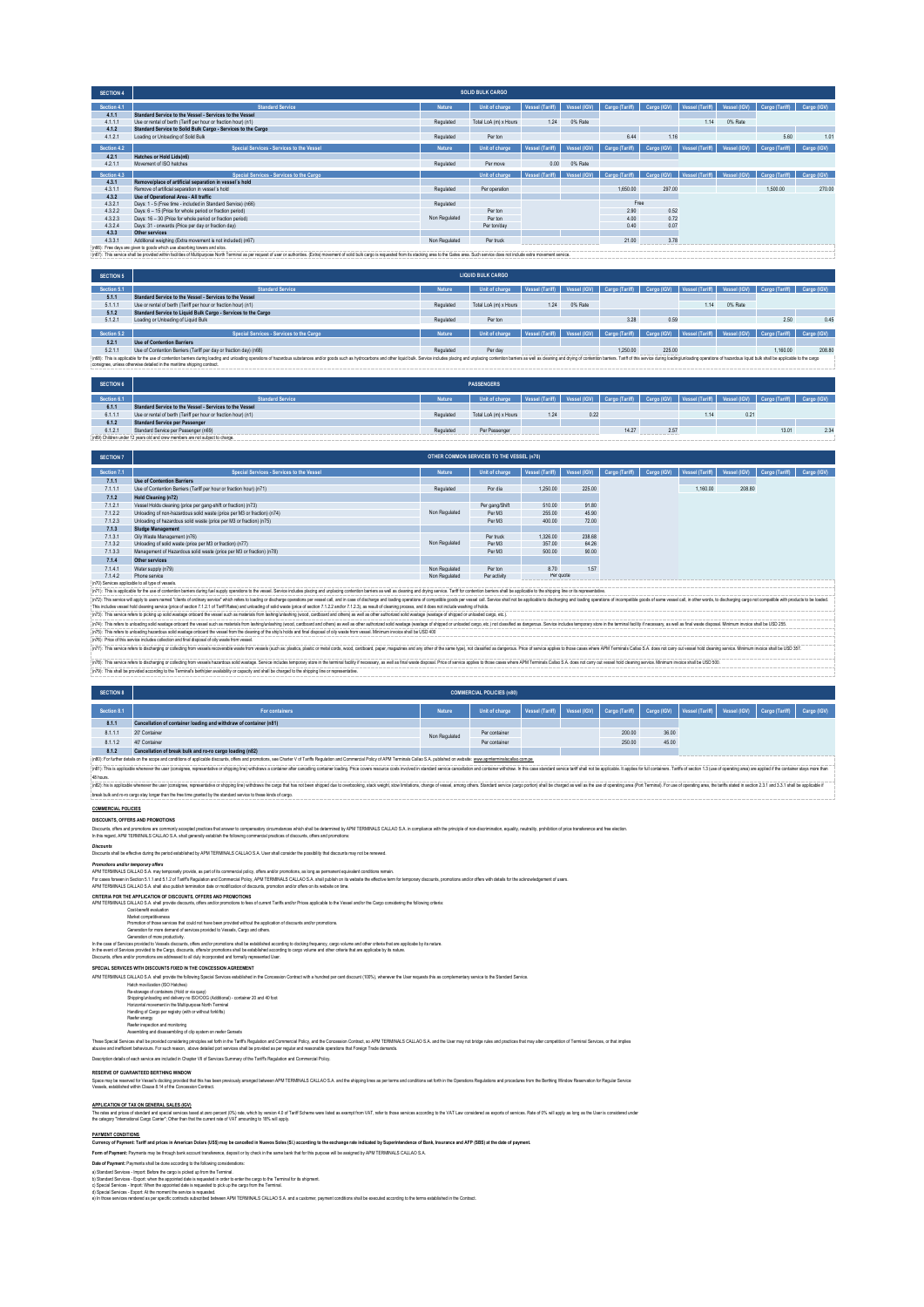| <b>SECTION 4</b> |                                                                           |               | <b>SOLID BULK CARGO</b> |                 |              |                                            |             |                               |              |                                         |             |
|------------------|---------------------------------------------------------------------------|---------------|-------------------------|-----------------|--------------|--------------------------------------------|-------------|-------------------------------|--------------|-----------------------------------------|-------------|
| Section 4.1      | <b>Standard Service</b>                                                   | Nature        | Unit of charge          | Vessel (Tariff) | Vessel (IGV) | Cargo (Tariff) Cargo (IGV) Vessel (Tariff) |             |                               | Vessel (IGV) | Cargo (Tariff)                          | Cargo (IGV) |
| 4.1.1            | Standard Service to the Vessel - Services to the Vessel                   |               |                         |                 |              |                                            |             |                               |              |                                         |             |
| 4.1.1.1          | Use or rental of berth (Tariff per hour or fraction hour) (n1)            | Regulated     | Total LoA (m) x Hours   | 1.24            | 0% Rate      |                                            |             | 1.14                          | 0% Rate      |                                         |             |
| 4.1.2            | Standard Service to Solid Bulk Cargo - Services to the Cargo              |               |                         |                 |              |                                            |             |                               |              |                                         |             |
| 4.1.2.1          | Loading or Unloading of Solid Bulk                                        | Regulated     | Per ton                 |                 |              | 6.44                                       | 1.16        |                               |              | 5.60                                    | 1.01        |
| Section 4.2      | Special Services - Services to the Vessel                                 | Nature        | Unit of charge          | Vessel (Tariff) | Vessel (IGV) | Cargo (Tariff)                             | Cargo (IGV) | Vessel (Tariff)               | Vessel (IGV) | Cargo (Tariff)                          | Cargo (IGV) |
|                  |                                                                           |               |                         |                 |              |                                            |             |                               |              |                                         |             |
| 4.2.1<br>4.2.1.1 | Hatches or Hold Lids(n6)<br>Movement of ISO hatches                       | Regulated     | Per move                | 0.00            | 0% Rate      |                                            |             |                               |              |                                         |             |
|                  |                                                                           |               |                         |                 |              |                                            |             |                               |              |                                         |             |
|                  |                                                                           |               |                         |                 |              |                                            |             |                               |              |                                         |             |
| Section 4.3      | Special Services - Services to the Cargo                                  |               | Unit of charge          | Vessel (Tariff) | Vessel (IGV) | Cargo (Tariff)                             |             | Cargo (IGV)   Vessel (Tariff) |              | Vessel (IGV) Cargo (Tariff) Cargo (IGV) |             |
| 4.3.1            | Remove/place of artificial separation in vessel's hold                    |               |                         |                 |              |                                            |             |                               |              |                                         |             |
| 4.3.1.1          | Remove of artificial separation in vessel's hold                          | Regulated     | Per operation           |                 |              | 1,650.00                                   | 297.00      |                               |              | 1,500.00                                | 270.00      |
| 4.3.2            | Use of Operational Area - All traffic                                     |               |                         |                 |              |                                            |             |                               |              |                                         |             |
| 4.3.2.1          | Days: 1 - 5 (Free time - included in Standard Service) (n66)              | Regulated     |                         |                 |              |                                            | Free        |                               |              |                                         |             |
| 4.3.2.2          | Days: 6 - 15 (Price for whole period or fraction period)                  |               | Per ton                 |                 |              | 2.90                                       | 0.52        |                               |              |                                         |             |
| 4.3.2.3          | Days: 16 - 30 (Price for whole period or fraction period)                 | Non Regulated | Per ton                 |                 |              | 4.00                                       | 0.72        |                               |              |                                         |             |
| 4.3.2.4          | Days: 31 - onwards (Price per day or fraction day)                        |               | Per ton/day             |                 |              | 0.40                                       | 0.07        |                               |              |                                         |             |
| 4.3.3            | Other services                                                            |               |                         |                 |              |                                            |             |                               |              |                                         |             |
| 4.3.3.1          | Additional weighing (Extra movement is not included) (n67)                | Non Regulated | Per truck               |                 |              | 21.00                                      | 3.78        |                               |              |                                         |             |
|                  | (n66): Free days are given to goods which use absorbing towers and silos. |               |                         |                 |              |                                            |             |                               |              |                                         |             |

(n67): This service shall be provided within facilities of Multipurpose North Terminal as per request of user or authorities. (Extra) movement of solid bulk cargo is requested from its stacking area to the Gates area. Such

| <b>SECTION 5</b> |                                                                                                                                                                                                                                                                                                           |           | <b>LIQUID BULK CARGO</b> |      |         |                                                                                                                 |        |       |         |                                                                                                                             |             |  |
|------------------|-----------------------------------------------------------------------------------------------------------------------------------------------------------------------------------------------------------------------------------------------------------------------------------------------------------|-----------|--------------------------|------|---------|-----------------------------------------------------------------------------------------------------------------|--------|-------|---------|-----------------------------------------------------------------------------------------------------------------------------|-------------|--|
| Section 5.1      | <b>Standard Service</b>                                                                                                                                                                                                                                                                                   | Nature    | Unit of charge           |      |         |                                                                                                                 |        |       |         | Vessel (Tariff) Vessel (IGV)   Cargo (Tariff)   Cargo (IGV)   Vessel (Tariff)   Vessel (IGV)   Cargo (Tariff)   Cargo (IGV) |             |  |
| 5.1.1            | Standard Service to the Vessel - Services to the Vessel                                                                                                                                                                                                                                                   |           |                          |      |         |                                                                                                                 |        |       |         |                                                                                                                             |             |  |
| 5.1.1.1          | Use or rental of berth (Tariff per hour or fraction hour) (n1)                                                                                                                                                                                                                                            | Regulated | Total LoA (m) x Hours    | 1 24 | 0% Rate |                                                                                                                 |        | 1 1 4 | 0% Rate |                                                                                                                             |             |  |
| 5.1.2            | Standard Service to Liquid Bulk Cargo - Services to the Cargo                                                                                                                                                                                                                                             |           |                          |      |         |                                                                                                                 |        |       |         |                                                                                                                             |             |  |
| 5.1.2.1          | Loading or Unloading of Liquid Bulk                                                                                                                                                                                                                                                                       | Regulated | Per ton                  |      |         | 3.28                                                                                                            | 0.59   |       |         | 2.50                                                                                                                        | 0.45        |  |
|                  |                                                                                                                                                                                                                                                                                                           |           |                          |      |         |                                                                                                                 |        |       |         |                                                                                                                             |             |  |
| Section 5.2      | Special Services - Services to the Cargo                                                                                                                                                                                                                                                                  | Nature    | Unit of charge           |      |         | Vessel (Tariff)   Vessel (IGV)   Cargo (Tariff)   Cargo (IGV)   Vessel (Tariff)   Vessel (IGV)   Cargo (Tariff) |        |       |         |                                                                                                                             | Cargo (IGV) |  |
| 5.2.1            | <b>Use of Contention Barriers</b>                                                                                                                                                                                                                                                                         |           |                          |      |         |                                                                                                                 |        |       |         |                                                                                                                             |             |  |
| 5.2.1.1          | Use of Contention Barriers (Tariff per day or fraction day) (n68)                                                                                                                                                                                                                                         | Regulated | Per day                  |      |         | 1,250.00                                                                                                        | 225.00 |       |         | 1.160.00                                                                                                                    | 208.80      |  |
|                  | : (n68): This is applicable for the use of contention barriers during loading onerations of hazardous substances and/or goods such as hydrocarbors and other liquid bulk. Service includes placing and unplacing contention ba<br>consignee, unless otherwise detailed in the maritime shipping contract. |           |                          |      |         |                                                                                                                 |        |       |         |                                                                                                                             |             |  |

| <b>SECTION 6</b> |                                                                                 |           | <b>PASSENGERS</b>     |      |      |                                                                                                                 |      |      |      |       |     |
|------------------|---------------------------------------------------------------------------------|-----------|-----------------------|------|------|-----------------------------------------------------------------------------------------------------------------|------|------|------|-------|-----|
| Section 6.1      | <b>Standard Service</b>                                                         | Nature    | Unit of charge        |      |      | Vessel (Tariff) Vessel (IGV) Cargo (Tariff) Cargo (IGV) Vessel (Tariff) Vessel (IGV) Cargo (Tariff) Cargo (IGV) |      |      |      |       |     |
| 6.1.1            | Standard Service to the Vessel - Services to the Vessel                         |           |                       |      |      |                                                                                                                 |      |      |      |       |     |
| 6.1.1.1          | Use or rental of berth (Tariff per hour or fraction hour) (n1)                  | Regulated | Total LoA (m) x Hours | 1.24 | 0.22 |                                                                                                                 |      | 1.14 | 0.21 |       |     |
| 6.1.2            | <b>Standard Service per Passenger</b>                                           |           |                       |      |      |                                                                                                                 |      |      |      |       |     |
| 6.1.2.1          | Standard Service per Passenger (n69)                                            | Regulated | Per Passenger         |      |      | 14.27                                                                                                           | 2.57 |      |      | 13.01 | 2.3 |
|                  | : (n69) Children under 12 years old and crew members are not subject to charge. |           |                       |      |      |                                                                                                                 |      |      |      |       |     |

| <b>SECTION 7</b> |                                                                         |               | OTHER COMMON SERVICES TO THE VESSEL (n70) |                 |              |                |             |                 |              |                |             |
|------------------|-------------------------------------------------------------------------|---------------|-------------------------------------------|-----------------|--------------|----------------|-------------|-----------------|--------------|----------------|-------------|
| Section 7.1      | Special Services - Services to the Vessel                               | Nature        | Unit of charge                            | Vessel (Tariffi | Vessel (IGV) | Cargo (Tariff) | Cargo (IGV) | Vessel (Tariff) | Vessel (IGV) | Cargo (Tariff) | Cargo (IGV) |
| 7.1.1            | <b>Use of Contention Barriers</b>                                       |               |                                           |                 |              |                |             |                 |              |                |             |
| 7.1.1.1          | Use of Contention Barriers (Tariff per hour or fraction hour) (n71)     | Regulated     | Por dia                                   | 1,250.00        | 225.00       |                |             | 1.160.00        | 208.80       |                |             |
| 7.1.2            | Hold Cleaning (n72)                                                     |               |                                           |                 |              |                |             |                 |              |                |             |
| 7.1.2.1          | Vessel Holds cleaning (price per gang-shift or fraction) (n73)          |               | Per gang/Shift                            | 510.00          | 91.80        |                |             |                 |              |                |             |
| 7.1.2.2          | Unloading of non-hazardous solid waste (price per M3 or fraction) (n74) | Non Regulated | Per M3                                    | 255.00          | 45.90        |                |             |                 |              |                |             |
| 7.1.2.3          | Unloading of hazardous solid waste (price per M3 or fraction) (n75)     |               | Per M3                                    | 400.00          | 72.00        |                |             |                 |              |                |             |
| 7.1.3            | Sludge Management                                                       |               |                                           |                 |              |                |             |                 |              |                |             |
| 7.1.3.1          | Oily Waste Management (n76)                                             |               | Per truck                                 | 1.326.00        | 238.68       |                |             |                 |              |                |             |
| 7.1.3.2          | Unloading of solid waste (price per M3 or fraction) (n77)               | Non Regulated | Per M3                                    | 357.00          | 64.26        |                |             |                 |              |                |             |
| 7.1.3.3          | Management of Hazardous solid waste (price per M3 or fraction) (n78)    |               | Per M3                                    | 500.00          | 90.00        |                |             |                 |              |                |             |
| 7.1.4            | Other services                                                          |               |                                           |                 |              |                |             |                 |              |                |             |
| 7.1.4.1          | Water supply (n79)                                                      | Non Regulated | Per ton                                   | 8.70            | 1.57         |                |             |                 |              |                |             |
| 7.1.4.2          | Phone service                                                           | Non Regulated | Per activity                              | Per quote       |              |                |             |                 |              |                |             |

(if). This sevical the first and decision that in the interpresentation in the security and the security and the security of the computation of the computation of the computation of the computation of the computation of t (e70) Services applicable to the ped vessels. Maintains during under a street of the vessel Service Includes plaints and unplainta contention barries as well as deening and drying service. Taiff for contention barriers and

(in This deb building bare about the was substant an main brown in the property and the main of the main of the state of the state of the state of the state of the state of the state of the state of the state of the state

(n3) ins avice ries to datarging calculation means have abused to the intermed and the internal states as a selected and an individual field series and as the very selected into the controller internal calculation of the s

| <b>SECTION 8</b> | <b>COMMERCIAL POLICIES (n80)</b>                                                                                                                                                                                               |               |                |                 |  |                             |             |                 |  |                             |             |
|------------------|--------------------------------------------------------------------------------------------------------------------------------------------------------------------------------------------------------------------------------|---------------|----------------|-----------------|--|-----------------------------|-------------|-----------------|--|-----------------------------|-------------|
| Section 8.1      | For containers                                                                                                                                                                                                                 | Nature        | Unit of charge | Vessel (Tariff) |  | Vessel (IGV) Cargo (Tariff) | Cargo (IGV) | Vessel (Tariff) |  | Vessel (IGV) Cargo (Tariff) | Cargo (IGV) |
| 8.1.1            | Cancellation of container loading and withdraw of container (n81)                                                                                                                                                              |               |                |                 |  |                             |             |                 |  |                             |             |
| 8.1.1.1          | 20' Container                                                                                                                                                                                                                  | Non Regulated | Per container  |                 |  | 200.00                      | 36.00       |                 |  |                             |             |
| 8.1.1.2          | 40' Container                                                                                                                                                                                                                  |               | Per container  |                 |  | 250.00                      | 45.00       |                 |  |                             |             |
| 8.1.2            | Cancellation of break bulk and ro-ro cargo loading (n82)                                                                                                                                                                       |               |                |                 |  |                             |             |                 |  |                             |             |
|                  | : (n80): For further details on the scope and conditions of applicable discounts, offers and promotions, see Charter V of Tariffs Regulation and Commercial Policy of APM Terminals Callao S.A. published on website: www.apmt |               |                |                 |  |                             |             |                 |  |                             |             |
|                  | {inS1}: This is applicable whenever the user (consignee, representative or shipping line) withdraws a container after cancelling container toading. Price covers resource costs involved in standard service cancellation and  |               |                |                 |  |                             |             |                 |  |                             |             |
| :48 hours.       |                                                                                                                                                                                                                                |               |                |                 |  |                             |             |                 |  |                             |             |

8 hus.<br>(@Ita is applatie where the use (cosigne, representive or shippin) who are loge that as the shipped are to orehoolog, state with the interiors, dranged vessel, anno of result and service (carp portion) shall be dope

## **COMMERCIAL POLICIES**

**DISCOUNTS, OFFERS AND PROMOTIONS**

Disconts, dhe sandronis are commuly screeper precises that arean to compensatory crumbatics with a standard MPM TERMINLS CALIAO S.A in compliance with the principle of non-discrimination, equality, nextailty, prohibition o

*Discounts* Discounts shall be effective during the period established by APM TERMINALS CALLAO S.A. User shall consider the possibility that discounts may not be renewed.

APM TERMINALS CALLAO S.A. shall also publish termination date or modification of discounts, promotion and/or offers on its website on time. Promotions and/or temporary offers<br>APH TERMINAS CALLO S.A my temporally provide, as part of its commercial policy, offers and/or promotions, as long as permanent equivalent conditions remain.<br>For cases foreasin School S.T.

CRITERIA POR THE PAPUCATION OF DESCRIPTION IN A DESCRIPTION OF A SUBSERVIAL OR A SUBSERVIAL OR A SUBSERVIAL OR<br>Contabled For the United States of the United States of the United States of the United States Capacity Conta<br>D

. Generalism of more productive?.<br>In the case of Services provided to the society, offers and/or promotions shall be established according to docking faxplor, capp volume and other childs that as applicabe by its nature.<br>I

**SPECIAL SERVICES WITH DISCOUNTS FIXED IN THE CONCESSION AGREEMENT**

Haldn movilazion (180 Hathes)<br>Re-stowage of containers (Hold or via quay)<br>Re-stowage of containers (Hold or via quay)<br>Horizontal movement in the Multipurpose North Terminal<br>Hardnirg of Cappo per registry (with or without f

## These Special School the provided considering into play to the first fits explain and Commercial Policy, and the Concession Contract, so APM TERMINAS CALLAO S.A. and the User may not indige nets and practices that may alte

Description details of each service are included in Chapter VII of Services Summary of the Tariff's Regulation and Commercial Policy.

### **RESERVE OF GUARANTEED BERTHING WINDOW**

n APM TERMINALS CALLAO S.A. and the shipping lines as per terms and conditions set forth in the Operations Regulations and procedures from the Berthing Window i Vessels, established within Clause 8.14 of the Concession Contract.

on Contract with a hundred per cent discount (100%), whenever the User requests this as complementary service to the Standard Ser

APPLCATION OF TAX ON GENERAL SALES (GV)<br>The relast of primate of special series last al zero pecer( (M) rais, which ty vesion 40 of Taff Scheme wee lated as exempt from VAT, refer to flose services according to the VAT Law

## **PAYMENT CONDITIONS**

# Currency of Payment: Tariff and prices in American Dolars (USS) may be cancelled in Nuevos Soles (SI.) according to the exchange rate indicated by Superintendence of Bank, Insurance and AFP (SBS) at the date of payment.<br>Fo

Date of Peyments and the done eccording to the Universign constantions<br>a) StanderServices - Encycl teleform and the University of the University of the University of the University<br>a) Standard Services - Import When the ap